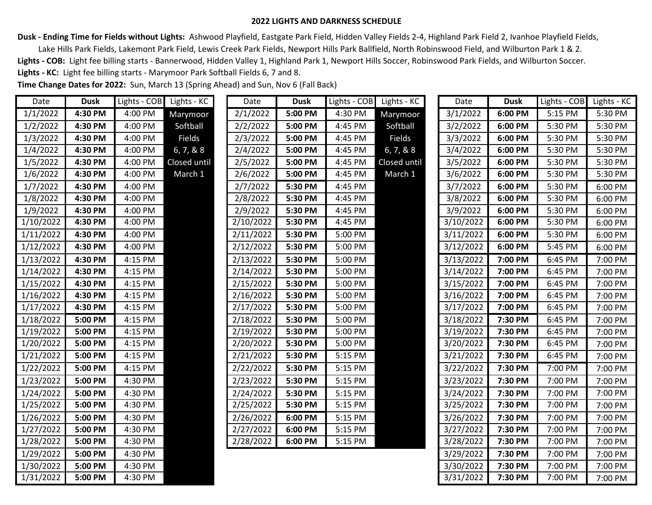## **2022 LIGHTS AND DARKNESS SCHEDULE**

**Dusk - Ending Time for Fields without Lights:** Ashwood Playfield, Eastgate Park Field, Hidden Valley Fields 2-4, Highland Park Field 2, Ivanhoe Playfield Fields,

 Lake Hills Park Fields, Lakemont Park Field, Lewis Creek Park Fields, Newport Hills Park Ballfield, North Robinswood Field, and Wilburton Park 1 & 2. Lights - COB: Light fee billing starts - Bannerwood, Hidden Valley 1, Highland Park 1, Newport Hills Soccer, Robinswood Park Fields, and Wilburton Soccer. **Lights - KC:** Light fee billing starts - Marymoor Park Softball Fields 6, 7 and 8.

**Time Change Dates for 2022:** Sun, March 13 (Spring Ahead) and Sun, Nov 6 (Fall Back)

| Date      | <b>Dusk</b> |         | Lights - COB Lights - KC | Date      | <b>Dusk</b> | Lights - COB Lights - KC |              | Date      | <b>Dusk</b> | Lights - COB Lights - KC |         |
|-----------|-------------|---------|--------------------------|-----------|-------------|--------------------------|--------------|-----------|-------------|--------------------------|---------|
| 1/1/2022  | 4:30 PM     | 4:00 PM | Marymoor                 | 2/1/2022  | 5:00 PM     | 4:30 PM                  | Marymoor     | 3/1/2022  | 6:00 PM     | 5:15 PM                  | 5:30 PM |
| 1/2/2022  | 4:30 PM     | 4:00 PM | Softball                 | 2/2/2022  | 5:00 PM     | 4:45 PM                  | Softball     | 3/2/2022  | 6:00 PM     | 5:30 PM                  | 5:30 PM |
| 1/3/2022  | 4:30 PM     | 4:00 PM | Fields                   | 2/3/2022  | 5:00 PM     | 4:45 PM                  | Fields       | 3/3/2022  | 6:00 PM     | 5:30 PM                  | 5:30 PM |
| 1/4/2022  | 4:30 PM     | 4:00 PM | 6, 7, 8, 8               | 2/4/2022  | 5:00 PM     | 4:45 PM                  | 6, 7, 8, 8   | 3/4/2022  | 6:00 PM     | 5:30 PM                  | 5:30 PM |
| 1/5/2022  | 4:30 PM     | 4:00 PM | Closed until             | 2/5/2022  | 5:00 PM     | 4:45 PM                  | Closed until | 3/5/2022  | 6:00 PM     | 5:30 PM                  | 5:30 PM |
| 1/6/2022  | 4:30 PM     | 4:00 PM | March 1                  | 2/6/2022  | 5:00 PM     | 4:45 PM                  | March 1      | 3/6/2022  | 6:00 PM     | 5:30 PM                  | 5:30 PM |
| 1/7/2022  | 4:30 PM     | 4:00 PM |                          | 2/7/2022  | 5:30 PM     | 4:45 PM                  |              | 3/7/2022  | 6:00 PM     | 5:30 PM                  | 6:00 PM |
| 1/8/2022  | 4:30 PM     | 4:00 PM |                          | 2/8/2022  | 5:30 PM     | 4:45 PM                  |              | 3/8/2022  | 6:00 PM     | 5:30 PM                  | 6:00 PM |
| 1/9/2022  | 4:30 PM     | 4:00 PM |                          | 2/9/2022  | 5:30 PM     | 4:45 PM                  |              | 3/9/2022  | 6:00 PM     | 5:30 PM                  | 6:00 PM |
| 1/10/2022 | 4:30 PM     | 4:00 PM |                          | 2/10/2022 | 5:30 PM     | 4:45 PM                  |              | 3/10/2022 | 6:00 PM     | 5:30 PM                  | 6:00 PM |
| 1/11/2022 | 4:30 PM     | 4:00 PM |                          | 2/11/2022 | 5:30 PM     | 5:00 PM                  |              | 3/11/2022 | 6:00 PM     | 5:30 PM                  | 6:00 PM |
| 1/12/2022 | 4:30 PM     | 4:00 PM |                          | 2/12/2022 | 5:30 PM     | 5:00 PM                  |              | 3/12/2022 | 6:00 PM     | 5:45 PM                  | 6:00 PM |
| 1/13/2022 | 4:30 PM     | 4:15 PM |                          | 2/13/2022 | 5:30 PM     | 5:00 PM                  |              | 3/13/2022 | 7:00 PM     | 6:45 PM                  | 7:00 PM |
| 1/14/2022 | 4:30 PM     | 4:15 PM |                          | 2/14/2022 | 5:30 PM     | 5:00 PM                  |              | 3/14/2022 | 7:00 PM     | 6:45 PM                  | 7:00 PM |
| 1/15/2022 | 4:30 PM     | 4:15 PM |                          | 2/15/2022 | 5:30 PM     | 5:00 PM                  |              | 3/15/2022 | 7:00 PM     | 6:45 PM                  | 7:00 PM |
| 1/16/2022 | 4:30 PM     | 4:15 PM |                          | 2/16/2022 | 5:30 PM     | 5:00 PM                  |              | 3/16/2022 | 7:00 PM     | 6:45 PM                  | 7:00 PM |
| 1/17/2022 | 4:30 PM     | 4:15 PM |                          | 2/17/2022 | 5:30 PM     | 5:00 PM                  |              | 3/17/2022 | 7:00 PM     | 6:45 PM                  | 7:00 PM |
| 1/18/2022 | 5:00 PM     | 4:15 PM |                          | 2/18/2022 | 5:30 PM     | 5:00 PM                  |              | 3/18/2022 | 7:30 PM     | 6:45 PM                  | 7:00 PM |
| 1/19/2022 | 5:00 PM     | 4:15 PM |                          | 2/19/2022 | 5:30 PM     | 5:00 PM                  |              | 3/19/2022 | 7:30 PM     | 6:45 PM                  | 7:00 PM |
| 1/20/2022 | 5:00 PM     | 4:15 PM |                          | 2/20/2022 | 5:30 PM     | 5:00 PM                  |              | 3/20/2022 | 7:30 PM     | 6:45 PM                  | 7:00 PM |
| 1/21/2022 | 5:00 PM     | 4:15 PM |                          | 2/21/2022 | 5:30 PM     | 5:15 PM                  |              | 3/21/2022 | 7:30 PM     | 6:45 PM                  | 7:00 PM |
| 1/22/2022 | 5:00 PM     | 4:15 PM |                          | 2/22/2022 | 5:30 PM     | 5:15 PM                  |              | 3/22/2022 | 7:30 PM     | 7:00 PM                  | 7:00 PM |
| 1/23/2022 | 5:00 PM     | 4:30 PM |                          | 2/23/2022 | 5:30 PM     | 5:15 PM                  |              | 3/23/2022 | 7:30 PM     | 7:00 PM                  | 7:00 PM |
| 1/24/2022 | 5:00 PM     | 4:30 PM |                          | 2/24/2022 | 5:30 PM     | 5:15 PM                  |              | 3/24/2022 | 7:30 PM     | 7:00 PM                  | 7:00 PM |
| 1/25/2022 | 5:00 PM     | 4:30 PM |                          | 2/25/2022 | 5:30 PM     | 5:15 PM                  |              | 3/25/2022 | 7:30 PM     | 7:00 PM                  | 7:00 PM |
| 1/26/2022 | 5:00 PM     | 4:30 PM |                          | 2/26/2022 | 6:00 PM     | 5:15 PM                  |              | 3/26/2022 | 7:30 PM     | 7:00 PM                  | 7:00 PM |
| 1/27/2022 | 5:00 PM     | 4:30 PM |                          | 2/27/2022 | 6:00 PM     | 5:15 PM                  |              | 3/27/2022 | 7:30 PM     | 7:00 PM                  | 7:00 PM |
| 1/28/2022 | 5:00 PM     | 4:30 PM |                          | 2/28/2022 | 6:00 PM     | 5:15 PM                  |              | 3/28/2022 | 7:30 PM     | 7:00 PM                  | 7:00 PM |
| 1/29/2022 | 5:00 PM     | 4:30 PM |                          |           |             |                          |              | 3/29/2022 | 7:30 PM     | 7:00 PM                  | 7:00 PM |
| 1/30/2022 | 5:00 PM     | 4:30 PM |                          |           |             |                          |              | 3/30/2022 | 7:30 PM     | 7:00 PM                  | 7:00 PM |
| 1/31/2022 | 5:00 PM     | 4:30 PM |                          |           |             |                          |              | 3/31/2022 | 7:30 PM     | 7:00 PM                  | 7:00 PM |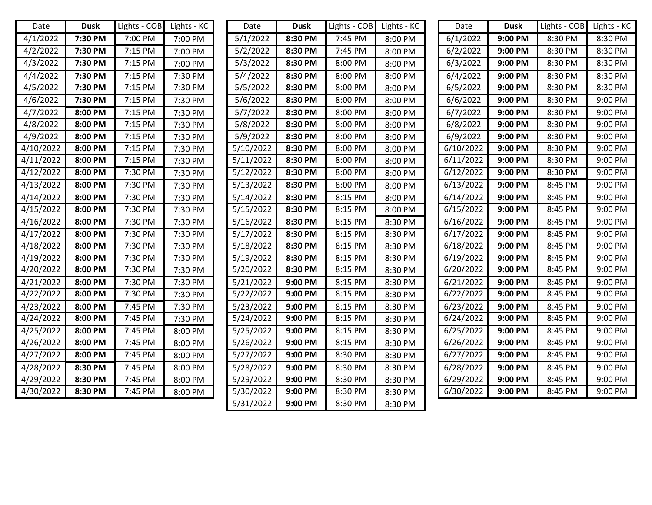| Date      | <b>Dusk</b> | Lights - COB | Lights - KC | Date                   | <b>Dusk</b> | Lights - COB | Lights - KC | Date      | <b>Dusk</b> | Lights - COB | Lights - KC |
|-----------|-------------|--------------|-------------|------------------------|-------------|--------------|-------------|-----------|-------------|--------------|-------------|
| 4/1/2022  | 7:30 PM     | 7:00 PM      | 7:00 PM     | 5/1/2022               | 8:30 PM     | 7:45 PM      | 8:00 PM     | 6/1/2022  | 9:00 PM     | 8:30 PM      | 8:30 PM     |
| 4/2/2022  | 7:30 PM     | 7:15 PM      | 7:00 PM     | 5/2/2022               | 8:30 PM     | 7:45 PM      | 8:00 PM     | 6/2/2022  | 9:00 PM     | 8:30 PM      | 8:30 PM     |
| 4/3/2022  | 7:30 PM     | 7:15 PM      | 7:00 PM     | 5/3/2022               | 8:30 PM     | 8:00 PM      | 8:00 PM     | 6/3/2022  | 9:00 PM     | 8:30 PM      | 8:30 PM     |
| 4/4/2022  | 7:30 PM     | 7:15 PM      | 7:30 PM     | 5/4/2022               | 8:30 PM     | 8:00 PM      | 8:00 PM     | 6/4/2022  | 9:00 PM     | 8:30 PM      | 8:30 PM     |
| 4/5/2022  | 7:30 PM     | 7:15 PM      | 7:30 PM     | 5/5/2022               | 8:30 PM     | 8:00 PM      | 8:00 PM     | 6/5/2022  | 9:00 PM     | 8:30 PM      | 8:30 PM     |
| 4/6/2022  | 7:30 PM     | 7:15 PM      | 7:30 PM     | 5/6/2022               | 8:30 PM     | 8:00 PM      | 8:00 PM     | 6/6/2022  | 9:00 PM     | 8:30 PM      | 9:00 PM     |
| 4/7/2022  | 8:00 PM     | 7:15 PM      | 7:30 PM     | 5/7/2022               | 8:30 PM     | 8:00 PM      | 8:00 PM     | 6/7/2022  | 9:00 PM     | 8:30 PM      | 9:00 PM     |
| 4/8/2022  | 8:00 PM     | 7:15 PM      | 7:30 PM     | 5/8/2022               | 8:30 PM     | 8:00 PM      | 8:00 PM     | 6/8/2022  | 9:00 PM     | 8:30 PM      | 9:00 PM     |
| 4/9/2022  | 8:00 PM     | 7:15 PM      | 7:30 PM     | 5/9/2022               | 8:30 PM     | 8:00 PM      | 8:00 PM     | 6/9/2022  | 9:00 PM     | 8:30 PM      | 9:00 PM     |
| 4/10/2022 | 8:00 PM     | 7:15 PM      | 7:30 PM     | 5/10/2022              | 8:30 PM     | 8:00 PM      | 8:00 PM     | 6/10/2022 | 9:00 PM     | 8:30 PM      | 9:00 PM     |
| 4/11/2022 | 8:00 PM     | 7:15 PM      | 7:30 PM     | $\frac{1}{5}$ /11/2022 | 8:30 PM     | 8:00 PM      | 8:00 PM     | 6/11/2022 | 9:00 PM     | 8:30 PM      | 9:00 PM     |
| 4/12/2022 | 8:00 PM     | 7:30 PM      | 7:30 PM     | 5/12/2022              | 8:30 PM     | 8:00 PM      | 8:00 PM     | 6/12/2022 | 9:00 PM     | 8:30 PM      | 9:00 PM     |
| 4/13/2022 | 8:00 PM     | 7:30 PM      | 7:30 PM     | 5/13/2022              | 8:30 PM     | 8:00 PM      | 8:00 PM     | 6/13/2022 | 9:00 PM     | 8:45 PM      | 9:00 PM     |
| 4/14/2022 | 8:00 PM     | 7:30 PM      | 7:30 PM     | 5/14/2022              | 8:30 PM     | 8:15 PM      | 8:00 PM     | 6/14/2022 | 9:00 PM     | 8:45 PM      | 9:00 PM     |
| 4/15/2022 | 8:00 PM     | 7:30 PM      | 7:30 PM     | 5/15/2022              | 8:30 PM     | 8:15 PM      | 8:00 PM     | 6/15/2022 | 9:00 PM     | 8:45 PM      | 9:00 PM     |
| 4/16/2022 | 8:00 PM     | 7:30 PM      | 7:30 PM     | 5/16/2022              | 8:30 PM     | 8:15 PM      | 8:30 PM     | 6/16/2022 | 9:00 PM     | 8:45 PM      | 9:00 PM     |
| 4/17/2022 | 8:00 PM     | 7:30 PM      | 7:30 PM     | 5/17/2022              | 8:30 PM     | 8:15 PM      | 8:30 PM     | 6/17/2022 | 9:00 PM     | 8:45 PM      | 9:00 PM     |
| 4/18/2022 | 8:00 PM     | 7:30 PM      | 7:30 PM     | 5/18/2022              | 8:30 PM     | 8:15 PM      | 8:30 PM     | 6/18/2022 | 9:00 PM     | 8:45 PM      | 9:00 PM     |
| 4/19/2022 | 8:00 PM     | 7:30 PM      | 7:30 PM     | 5/19/2022              | 8:30 PM     | 8:15 PM      | 8:30 PM     | 6/19/2022 | 9:00 PM     | 8:45 PM      | 9:00 PM     |
| 4/20/2022 | 8:00 PM     | 7:30 PM      | 7:30 PM     | 5/20/2022              | 8:30 PM     | 8:15 PM      | 8:30 PM     | 6/20/2022 | 9:00 PM     | 8:45 PM      | 9:00 PM     |
| 4/21/2022 | 8:00 PM     | 7:30 PM      | 7:30 PM     | 5/21/2022              | 9:00 PM     | 8:15 PM      | 8:30 PM     | 6/21/2022 | 9:00 PM     | 8:45 PM      | 9:00 PM     |
| 4/22/2022 | 8:00 PM     | 7:30 PM      | 7:30 PM     | 5/22/2022              | 9:00 PM     | 8:15 PM      | 8:30 PM     | 6/22/2022 | 9:00 PM     | 8:45 PM      | 9:00 PM     |
| 4/23/2022 | 8:00 PM     | 7:45 PM      | 7:30 PM     | 5/23/2022              | 9:00 PM     | 8:15 PM      | 8:30 PM     | 6/23/2022 | 9:00 PM     | 8:45 PM      | 9:00 PM     |
| 4/24/2022 | 8:00 PM     | 7:45 PM      | 7:30 PM     | 5/24/2022              | 9:00 PM     | 8:15 PM      | 8:30 PM     | 6/24/2022 | 9:00 PM     | 8:45 PM      | 9:00 PM     |
| 4/25/2022 | 8:00 PM     | 7:45 PM      | 8:00 PM     | 5/25/2022              | 9:00 PM     | 8:15 PM      | 8:30 PM     | 6/25/2022 | 9:00 PM     | 8:45 PM      | 9:00 PM     |
| 4/26/2022 | 8:00 PM     | 7:45 PM      | 8:00 PM     | 5/26/2022              | 9:00 PM     | 8:15 PM      | 8:30 PM     | 6/26/2022 | 9:00 PM     | 8:45 PM      | 9:00 PM     |
| 4/27/2022 | 8:00 PM     | 7:45 PM      | 8:00 PM     | 5/27/2022              | 9:00 PM     | 8:30 PM      | 8:30 PM     | 6/27/2022 | 9:00 PM     | 8:45 PM      | 9:00 PM     |
| 4/28/2022 | 8:30 PM     | 7:45 PM      | 8:00 PM     | 5/28/2022              | 9:00 PM     | 8:30 PM      | 8:30 PM     | 6/28/2022 | 9:00 PM     | 8:45 PM      | 9:00 PM     |
| 4/29/2022 | 8:30 PM     | 7:45 PM      | 8:00 PM     | 5/29/2022              | 9:00 PM     | 8:30 PM      | 8:30 PM     | 6/29/2022 | 9:00 PM     | 8:45 PM      | 9:00 PM     |
| 4/30/2022 | 8:30 PM     | 7:45 PM      | 8:00 PM     | 5/30/2022              | 9:00 PM     | 8:30 PM      | 8:30 PM     | 6/30/2022 | 9:00 PM     | 8:45 PM      | 9:00 PM     |
|           |             |              |             | 5/31/2022              | 9:00 PM     | 8:30 PM      | 8:30 PM     |           |             |              |             |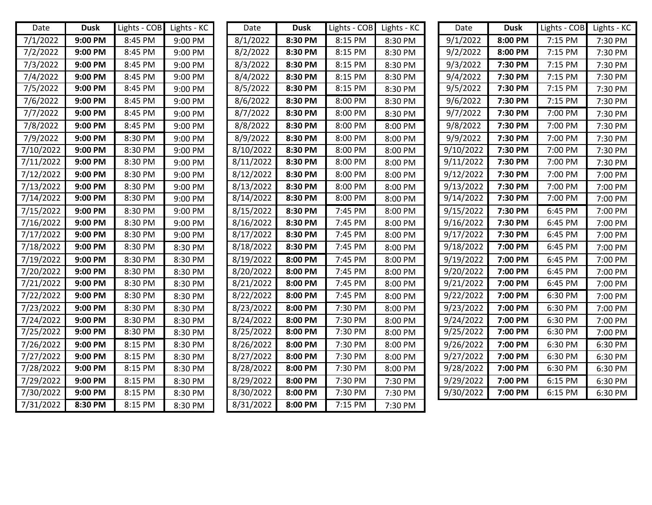| Date                 | <b>Dusk</b> | Lights - $COB$ Lights - $KC$ |         | Date      | <b>Dusk</b> | Lights - COB Lights - KC |         | Date      | <b>Dusk</b> | Lights - COB Lights - KC |         |
|----------------------|-------------|------------------------------|---------|-----------|-------------|--------------------------|---------|-----------|-------------|--------------------------|---------|
| 7/1/2022             | 9:00 PM     | 8:45 PM                      | 9:00 PM | 8/1/2022  | 8:30 PM     | 8:15 PM                  | 8:30 PM | 9/1/2022  | 8:00 PM     | 7:15 PM                  | 7:30 PM |
| 7/2/2022             | 9:00 PM     | 8:45 PM                      | 9:00 PM | 8/2/2022  | 8:30 PM     | 8:15 PM                  | 8:30 PM | 9/2/2022  | 8:00 PM     | 7:15 PM                  | 7:30 PM |
| 7/3/2022             | 9:00 PM     | 8:45 PM                      | 9:00 PM | 8/3/2022  | 8:30 PM     | 8:15 PM                  | 8:30 PM | 9/3/2022  | 7:30 PM     | 7:15 PM                  | 7:30 PM |
| 7/4/2022             | 9:00 PM     | 8:45 PM                      | 9:00 PM | 8/4/2022  | 8:30 PM     | 8:15 PM                  | 8:30 PM | 9/4/2022  | 7:30 PM     | 7:15 PM                  | 7:30 PM |
| 7/5/2022             | 9:00 PM     | 8:45 PM                      | 9:00 PM | 8/5/2022  | 8:30 PM     | 8:15 PM                  | 8:30 PM | 9/5/2022  | 7:30 PM     | 7:15 PM                  | 7:30 PM |
| 7/6/2022             | 9:00 PM     | 8:45 PM                      | 9:00 PM | 8/6/2022  | 8:30 PM     | 8:00 PM                  | 8:30 PM | 9/6/2022  | 7:30 PM     | 7:15 PM                  | 7:30 PM |
| 7/7/2022             | 9:00 PM     | 8:45 PM                      | 9:00 PM | 8/7/2022  | 8:30 PM     | 8:00 PM                  | 8:30 PM | 9/7/2022  | 7:30 PM     | 7:00 PM                  | 7:30 PM |
| $\frac{1}{7}/8/2022$ | 9:00 PM     | 8:45 PM                      | 9:00 PM | 8/8/2022  | 8:30 PM     | 8:00 PM                  | 8:00 PM | 9/8/2022  | 7:30 PM     | 7:00 PM                  | 7:30 PM |
| 7/9/2022             | 9:00 PM     | 8:30 PM                      | 9:00 PM | 8/9/2022  | 8:30 PM     | 8:00 PM                  | 8:00 PM | 9/9/2022  | 7:30 PM     | 7:00 PM                  | 7:30 PM |
| 7/10/2022            | 9:00 PM     | 8:30 PM                      | 9:00 PM | 8/10/2022 | 8:30 PM     | 8:00 PM                  | 8:00 PM | 9/10/2022 | 7:30 PM     | 7:00 PM                  | 7:30 PM |
| 7/11/2022            | 9:00 PM     | 8:30 PM                      | 9:00 PM | 8/11/2022 | 8:30 PM     | 8:00 PM                  | 8:00 PM | 9/11/2022 | 7:30 PM     | 7:00 PM                  | 7:30 PM |
| 7/12/2022            | 9:00 PM     | 8:30 PM                      | 9:00 PM | 8/12/2022 | 8:30 PM     | 8:00 PM                  | 8:00 PM | 9/12/2022 | 7:30 PM     | 7:00 PM                  | 7:00 PM |
| 7/13/2022            | 9:00 PM     | 8:30 PM                      | 9:00 PM | 8/13/2022 | 8:30 PM     | 8:00 PM                  | 8:00 PM | 9/13/2022 | 7:30 PM     | 7:00 PM                  | 7:00 PM |
| 7/14/2022            | 9:00 PM     | 8:30 PM                      | 9:00 PM | 8/14/2022 | 8:30 PM     | 8:00 PM                  | 8:00 PM | 9/14/2022 | 7:30 PM     | 7:00 PM                  | 7:00 PM |
| 7/15/2022            | 9:00 PM     | 8:30 PM                      | 9:00 PM | 8/15/2022 | 8:30 PM     | 7:45 PM                  | 8:00 PM | 9/15/2022 | 7:30 PM     | 6:45 PM                  | 7:00 PM |
| 7/16/2022            | 9:00 PM     | 8:30 PM                      | 9:00 PM | 8/16/2022 | 8:30 PM     | 7:45 PM                  | 8:00 PM | 9/16/2022 | 7:30 PM     | 6:45 PM                  | 7:00 PM |
| 7/17/2022            | 9:00 PM     | 8:30 PM                      | 9:00 PM | 8/17/2022 | 8:30 PM     | 7:45 PM                  | 8:00 PM | 9/17/2022 | 7:30 PM     | 6:45 PM                  | 7:00 PM |
| 7/18/2022            | 9:00 PM     | 8:30 PM                      | 8:30 PM | 8/18/2022 | 8:30 PM     | 7:45 PM                  | 8:00 PM | 9/18/2022 | 7:00 PM     | 6:45 PM                  | 7:00 PM |
| 7/19/2022            | 9:00 PM     | 8:30 PM                      | 8:30 PM | 8/19/2022 | 8:00 PM     | 7:45 PM                  | 8:00 PM | 9/19/2022 | 7:00 PM     | 6:45 PM                  | 7:00 PM |
| 7/20/2022            | 9:00 PM     | 8:30 PM                      | 8:30 PM | 8/20/2022 | 8:00 PM     | 7:45 PM                  | 8:00 PM | 9/20/2022 | 7:00 PM     | 6:45 PM                  | 7:00 PM |
| 7/21/2022            | 9:00 PM     | 8:30 PM                      | 8:30 PM | 8/21/2022 | 8:00 PM     | 7:45 PM                  | 8:00 PM | 9/21/2022 | 7:00 PM     | 6:45 PM                  | 7:00 PM |
| 7/22/2022            | 9:00 PM     | 8:30 PM                      | 8:30 PM | 8/22/2022 | 8:00 PM     | 7:45 PM                  | 8:00 PM | 9/22/2022 | 7:00 PM     | 6:30 PM                  | 7:00 PM |
| 7/23/2022            | 9:00 PM     | 8:30 PM                      | 8:30 PM | 8/23/2022 | 8:00 PM     | 7:30 PM                  | 8:00 PM | 9/23/2022 | 7:00 PM     | 6:30 PM                  | 7:00 PM |
| 7/24/2022            | 9:00 PM     | 8:30 PM                      | 8:30 PM | 8/24/2022 | 8:00 PM     | 7:30 PM                  | 8:00 PM | 9/24/2022 | 7:00 PM     | 6:30 PM                  | 7:00 PM |
| 7/25/2022            | 9:00 PM     | 8:30 PM                      | 8:30 PM | 8/25/2022 | 8:00 PM     | 7:30 PM                  | 8:00 PM | 9/25/2022 | 7:00 PM     | 6:30 PM                  | 7:00 PM |
| 7/26/2022            | 9:00 PM     | 8:15 PM                      | 8:30 PM | 8/26/2022 | 8:00 PM     | 7:30 PM                  | 8:00 PM | 9/26/2022 | 7:00 PM     | 6:30 PM                  | 6:30 PM |
| 7/27/2022            | 9:00 PM     | 8:15 PM                      | 8:30 PM | 8/27/2022 | 8:00 PM     | 7:30 PM                  | 8:00 PM | 9/27/2022 | 7:00 PM     | 6:30 PM                  | 6:30 PM |
| 7/28/2022            | 9:00 PM     | 8:15 PM                      | 8:30 PM | 8/28/2022 | 8:00 PM     | 7:30 PM                  | 8:00 PM | 9/28/2022 | 7:00 PM     | 6:30 PM                  | 6:30 PM |
| 7/29/2022            | 9:00 PM     | 8:15 PM                      | 8:30 PM | 8/29/2022 | 8:00 PM     | 7:30 PM                  | 7:30 PM | 9/29/2022 | 7:00 PM     | 6:15 PM                  | 6:30 PM |
| 7/30/2022            | 9:00 PM     | 8:15 PM                      | 8:30 PM | 8/30/2022 | 8:00 PM     | 7:30 PM                  | 7:30 PM | 9/30/2022 | 7:00 PM     | 6:15 PM                  | 6:30 PM |
| 7/31/2022            | 8:30 PM     | 8:15 PM                      | 8:30 PM | 8/31/2022 | 8:00 PM     | 7:15 PM                  | 7:30 PM |           |             |                          |         |